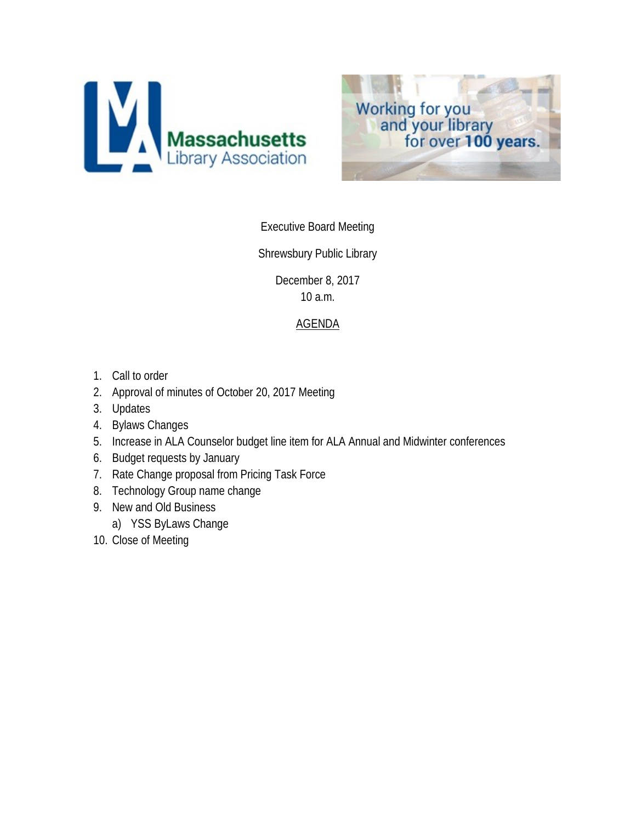



## Executive Board Meeting

## Shrewsbury Public Library

December 8, 2017 10 a.m.

## AGENDA

- 1. Call to order
- 2. Approval of minutes of October 20, 2017 Meeting
- 3. Updates
- 4. Bylaws Changes
- 5. Increase in ALA Counselor budget line item for ALA Annual and Midwinter conferences
- 6. Budget requests by January
- 7. Rate Change proposal from Pricing Task Force
- 8. Technology Group name change
- 9. New and Old Business
	- a) YSS ByLaws Change
- 10. Close of Meeting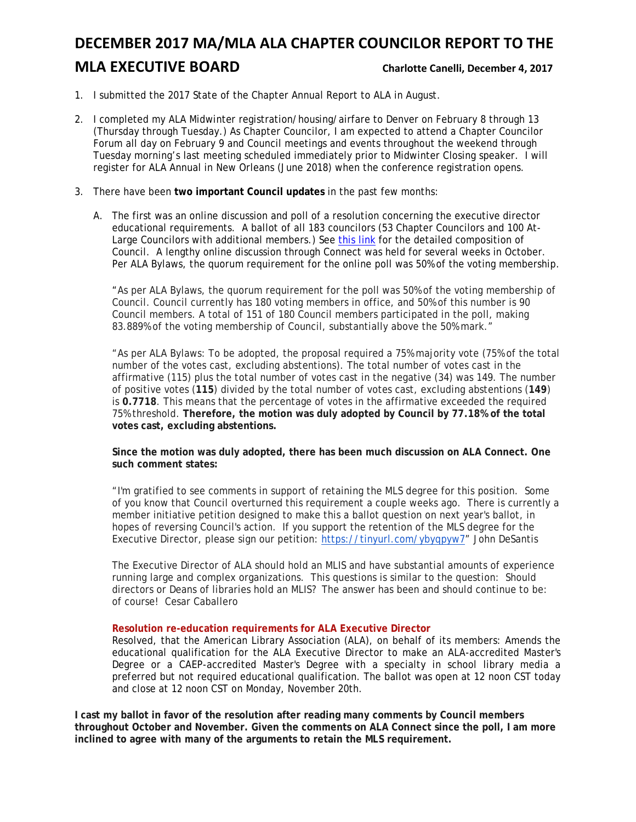## **DECEMBER 2017 MA/MLA ALA CHAPTER COUNCILOR REPORT TO THE MLA EXECUTIVE BOARD** Charlotte Canelli, December 4, 2017

- 1. I submitted the 2017 State of the Chapter Annual Report to ALA in August.
- 2. I completed my ALA Midwinter registration/housing/airfare to Denver on February 8 through 13 (Thursday through Tuesday.) As Chapter Councilor, I am expected to attend a Chapter Councilor Forum all day on February 9 and Council meetings and events throughout the weekend through Tuesday morning's last meeting scheduled immediately prior to Midwinter Closing speaker. I will register for ALA Annual in New Orleans (June 2018) when the conference registration opens.
- 3. There have been **two important Council updates** in the past few months:
	- A. The first was an online discussion and poll of a resolution concerning the executive director educational requirements. A ballot of all 183 councilors (53 Chapter Councilors and 100 At-Large Councilors with additional members.) See [this link](http://www.ala.org/aboutala/governance/council) for the detailed composition of Council. A lengthy online discussion through Connect was held for several weeks in October. Per ALA Bylaws, the quorum requirement for the online poll was 50% of the voting membership.

"As per ALA Bylaws, the quorum requirement for the poll was 50% of the voting membership of Council. Council currently has 180 voting members in office, and 50% of this number is 90 Council members. A total of 151 of 180 Council members participated in the poll, making 83.889% of the voting membership of Council, substantially above the 50% mark."

"As per ALA Bylaws: To be adopted, the proposal required a 75% majority vote (75% of the total number of the votes cast, excluding abstentions). The total number of votes cast in the affirmative (115) plus the total number of votes cast in the negative (34) was 149. The number of positive votes (**115**) divided by the total number of votes cast, excluding abstentions (**149**) is **0.7718**. This means that the percentage of votes in the affirmative exceeded the required 75% threshold. **Therefore, the motion was duly adopted by Council by 77.18% of the total votes cast, excluding abstentions.**

#### **Since the motion was duly adopted, there has been much discussion on ALA Connect. One such comment states:**

"I'm gratified to see comments in support of retaining the MLS degree for this position. Some of you know that Council overturned this requirement a couple weeks ago. There is currently a member initiative petition designed to make this a ballot question on next year's ballot, in hopes of reversing Council's action. If you support the retention of the MLS degree for the Executive Director, please sign our petition: [https://tinyurl.com/ybyqpyw7"](https://tinyurl.com/ybyqpyw7) John DeSantis

The Executive Director of ALA should hold an MLIS and have substantial amounts of experience running large and complex organizations. This questions is similar to the question: Should directors or Deans of libraries hold an MLIS? The answer has been and should continue to be: of course! Cesar Caballero

#### **Resolution re-education requirements for ALA Executive Director**

Resolved, that the American Library Association (ALA), on behalf of its members: Amends the educational qualification for the ALA Executive Director to make an ALA-accredited Master's Degree or a CAEP-accredited Master's Degree with a specialty in school library media a preferred but not required educational qualification. The ballot was open at 12 noon CST today and close at 12 noon CST on Monday, November 20th.

**I cast my ballot in favor of the resolution after reading many comments by Council members throughout October and November. Given the comments on ALA Connect since the poll, I am more inclined to agree with many of the arguments to retain the MLS requirement.**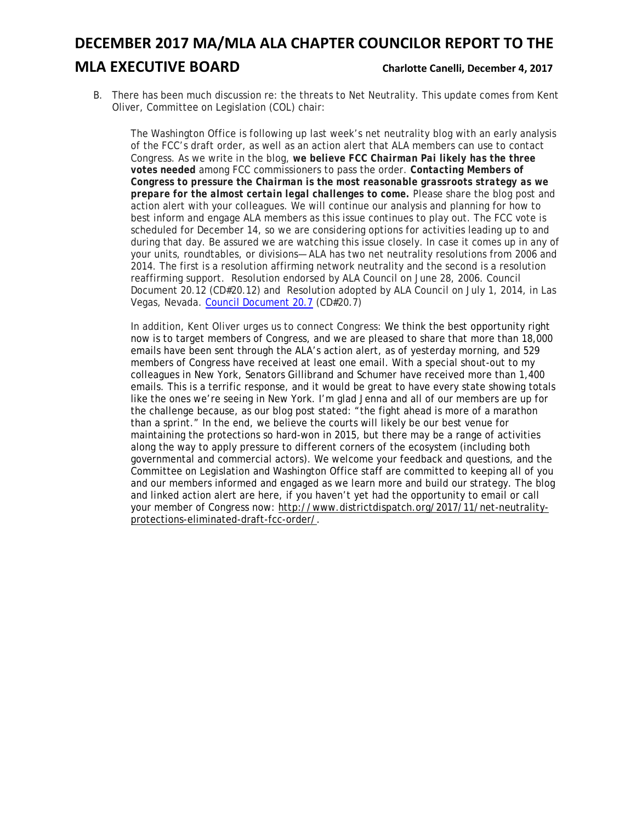## **DECEMBER 2017 MA/MLA ALA CHAPTER COUNCILOR REPORT TO THE**

## **MLA EXECUTIVE BOARD** Charlotte Canelli, December 4, 2017

B. There has been much discussion re: the threats to Net Neutrality. This update comes from Kent Oliver, Committee on Legislation (COL) chair:

The Washington Office is following up last week's net neutrality blog with an early analysis of the FCC's draft order, as well as an action alert that ALA members can use to contact Congress. As we write in the blog, *we believe FCC Chairman Pai likely has the three votes needed* among FCC commissioners to pass the order. *Contacting Members of Congress to pressure the Chairman is the most reasonable grassroots strategy as we prepare for the almost certain legal challenges to come.* Please share the blog post and action alert with your colleagues. We will continue our analysis and planning for how to best inform and engage ALA members as this issue continues to play out. The FCC vote is scheduled for December 14, so we are considering options for activities leading up to and during that day. Be assured we are watching this issue closely. In case it comes up in any of your units, roundtables, or divisions— ALA has two net neutrality resolutions from 2006 and 2014. The first is a resolution affirming network neutrality and the second is a resolution reaffirming support. Resolution endorsed by ALA Council on June 28, 2006. Council Document 20.12 (CD#20.12) and Resolution adopted by ALA Council on July 1, 2014, in Las Vegas, Nevada. [Council Document 20.7](https://alair.ala.org/bitstream/handle/11213/1047/07-01-14-CD20.7.pdf?sequence=1&isAllowed=y) (CD#20.7)

In addition, Kent Oliver urges us to connect Congress: We think the best opportunity right now is to target members of Congress, and we are pleased to share that more than 18,000 emails have been sent through the ALA's action alert, as of yesterday morning, and 529 members of Congress have received at least one email. With a special shout-out to my colleagues in New York, Senators Gillibrand and Schumer have received more than 1,400 emails. This is a terrific response, and it would be great to have every state showing totals like the ones we're seeing in New York. I'm glad Jenna and all of our members are up for the challenge because, as our blog post stated: "the fight ahead is more of a marathon than a sprint." In the end, we believe the courts will likely be our best venue for maintaining the protections so hard-won in 2015, but there may be a range of activities along the way to apply pressure to different corners of the ecosystem (including both governmental and commercial actors). We welcome your feedback and questions, and the Committee on Legislation and Washington Office staff are committed to keeping all of you and our members informed and engaged as we learn more and build our strategy. The blog and linked action alert are here, if you haven't yet had the opportunity to email or call your member of Congress now: [http://www.districtdispatch.org/2017/11/net-neutrality](http://www.districtdispatch.org/2017/11/net-neutrality-protections-eliminated-draft-fcc-order/)[protections-eliminated-draft-fcc-order/.](http://www.districtdispatch.org/2017/11/net-neutrality-protections-eliminated-draft-fcc-order/)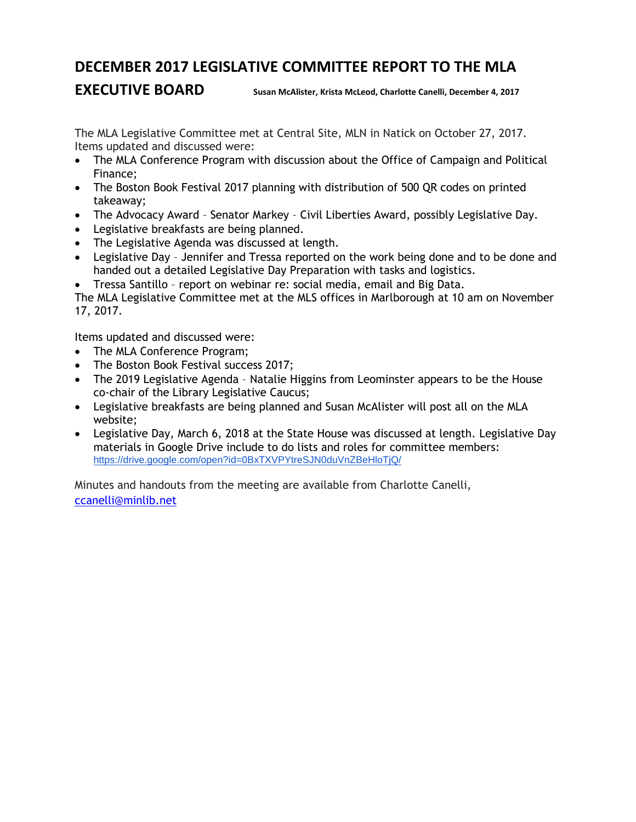## **DECEMBER 2017 LEGISLATIVE COMMITTEE REPORT TO THE MLA**

**EXECUTIVE BOARD** Susan McAlister, Krista McLeod, Charlotte Canelli, December 4, 2017

The MLA Legislative Committee met at Central Site, MLN in Natick on October 27, 2017. Items updated and discussed were:

- The MLA Conference Program with discussion about the Office of Campaign and Political Finance;
- The Boston Book Festival 2017 planning with distribution of 500 QR codes on printed takeaway;
- The Advocacy Award Senator Markey Civil Liberties Award, possibly Legislative Day.
- Legislative breakfasts are being planned.
- The Legislative Agenda was discussed at length.
- Legislative Day Jennifer and Tressa reported on the work being done and to be done and handed out a detailed Legislative Day Preparation with tasks and logistics.
- Tressa Santillo report on webinar re: social media, email and Big Data.

The MLA Legislative Committee met at the MLS offices in Marlborough at 10 am on November 17, 2017.

Items updated and discussed were:

- The MLA Conference Program;
- The Boston Book Festival success 2017;
- The 2019 Legislative Agenda Natalie Higgins from Leominster appears to be the House co-chair of the Library Legislative Caucus;
- Legislative breakfasts are being planned and Susan McAlister will post all on the MLA website;
- Legislative Day, March 6, 2018 at the State House was discussed at length. Legislative Day materials in Google Drive include to do lists and roles for committee members: <https://drive.google.com/open?id=0BxTXVPYtreSJN0duVnZBeHloTjQ/>

Minutes and handouts from the meeting are available from Charlotte Canelli, [ccanelli@minlib.net](mailto:ccanelli@minlib.net)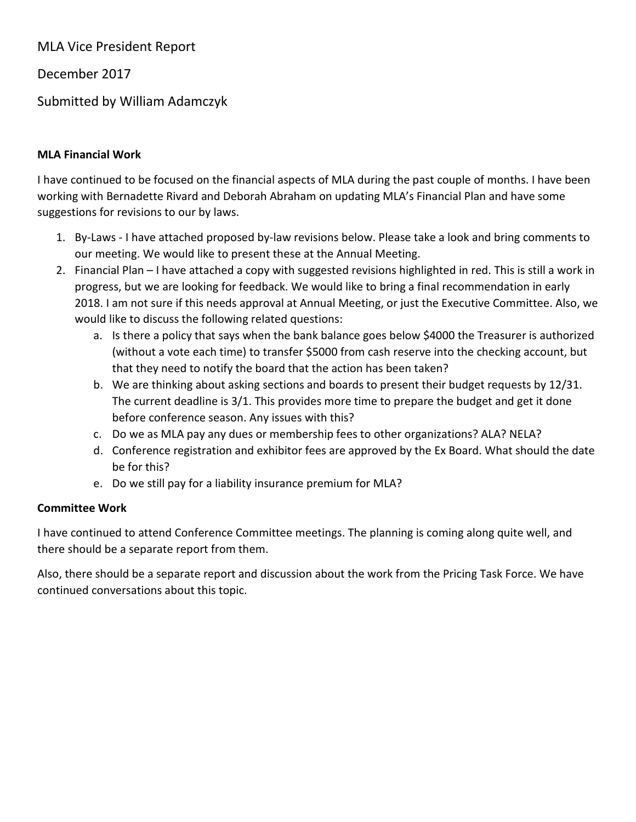MLA Vice President Report

December 2017

Submitted by William Adamczyk

## **MLA Financial Work**

I have continued to be focused on the financial aspects of MLA during the past couple of months. I have been working with Bernadette Rivard and Deborah Abraham on updating MLA's Financial Plan and have some suggestions for revisions to our by laws.

- 1. By-Laws I have attached proposed by-law revisions below. Please take a look and bring comments to our meeting. We would like to present these at the Annual Meeting.
- 2. Financial Plan I have attached a copy with suggested revisions highlighted in red. This is still a work in progress, but we are looking for feedback. We would like to bring a final recommendation in early 2018. I am not sure if this needs approval at Annual Meeting, or just the Executive Committee. Also, we would like to discuss the following related questions:
	- a. Is there a policy that says when the bank balance goes below \$4000 the Treasurer is authorized (without a vote each time) to transfer \$5000 from cash reserve into the checking account, but that they need to notify the board that the action has been taken?
	- b. We are thinking about asking sections and boards to present their budget requests by 12/31. The current deadline is 3/1. This provides more time to prepare the budget and get it done before conference season. Any issues with this?
	- c. Do we as MLA pay any dues or membership fees to other organizations? ALA? NELA?
	- d. Conference registration and exhibitor fees are approved by the Ex Board. What should the date be for this?
	- e. Do we still pay for a liability insurance premium for MLA?

## **Committee Work**

I have continued to attend Conference Committee meetings. The planning is coming along quite well, and there should be a separate report from them.

Also, there should be a separate report and discussion about the work from the Pricing Task Force. We have continued conversations about this topic.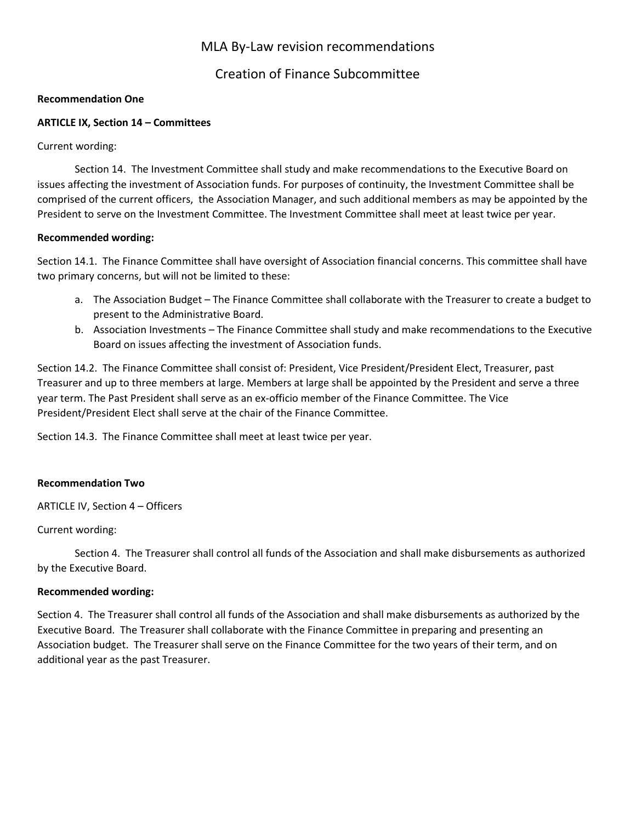## MLA By-Law revision recommendations

## Creation of Finance Subcommittee

#### **Recommendation One**

#### **ARTICLE IX, Section 14 – Committees**

Current wording:

Section 14. The Investment Committee shall study and make recommendations to the Executive Board on issues affecting the investment of Association funds. For purposes of continuity, the Investment Committee shall be comprised of the current officers, the Association Manager, and such additional members as may be appointed by the President to serve on the Investment Committee. The Investment Committee shall meet at least twice per year.

#### **Recommended wording:**

Section 14.1. The Finance Committee shall have oversight of Association financial concerns. This committee shall have two primary concerns, but will not be limited to these:

- a. The Association Budget The Finance Committee shall collaborate with the Treasurer to create a budget to present to the Administrative Board.
- b. Association Investments The Finance Committee shall study and make recommendations to the Executive Board on issues affecting the investment of Association funds.

Section 14.2. The Finance Committee shall consist of: President, Vice President/President Elect, Treasurer, past Treasurer and up to three members at large. Members at large shall be appointed by the President and serve a three year term. The Past President shall serve as an ex-officio member of the Finance Committee. The Vice President/President Elect shall serve at the chair of the Finance Committee.

Section 14.3. The Finance Committee shall meet at least twice per year.

#### **Recommendation Two**

ARTICLE IV, Section 4 – Officers

#### Current wording:

Section 4. The Treasurer shall control all funds of the Association and shall make disbursements as authorized by the Executive Board.

#### **Recommended wording:**

Section 4. The Treasurer shall control all funds of the Association and shall make disbursements as authorized by the Executive Board. The Treasurer shall collaborate with the Finance Committee in preparing and presenting an Association budget. The Treasurer shall serve on the Finance Committee for the two years of their term, and on additional year as the past Treasurer.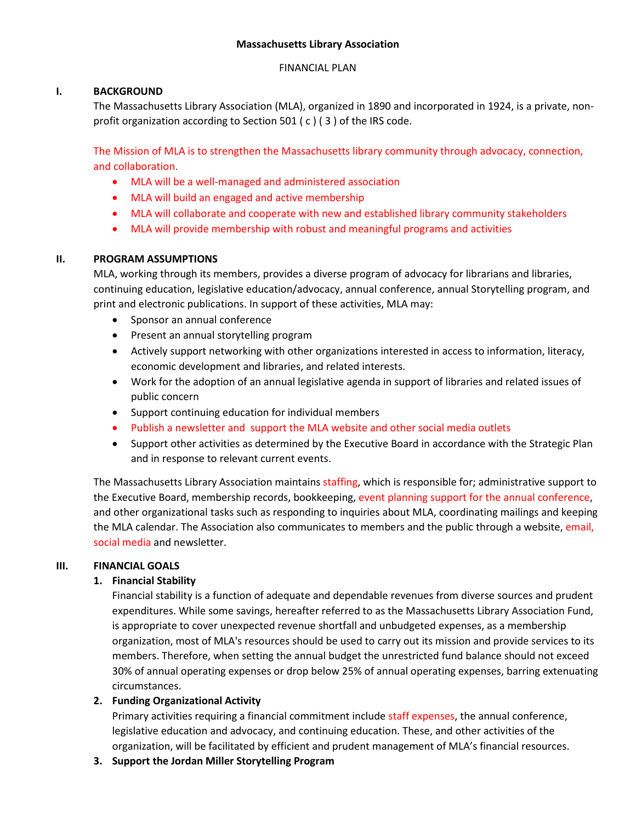#### **Massachusetts Library Association**

#### FINANCIAL PLAN

### **I. BACKGROUND**

The Massachusetts Library Association (MLA), organized in 1890 and incorporated in 1924, is a private, nonprofit organization according to Section 501 ( c ) ( 3 ) of the IRS code.

The Mission of MLA is to strengthen the Massachusetts library community through advocacy, connection, and collaboration.

- MLA will be a well-managed and administered association
- MLA will build an engaged and active membership
- MLA will collaborate and cooperate with new and established library community stakeholders
- MLA will provide membership with robust and meaningful programs and activities

### **II. PROGRAM ASSUMPTIONS**

MLA, working through its members, provides a diverse program of advocacy for librarians and libraries, continuing education, legislative education/advocacy, annual conference, annual Storytelling program, and print and electronic publications. In support of these activities, MLA may:

- Sponsor an annual conference
- Present an annual storytelling program
- Actively support networking with other organizations interested in access to information, literacy, economic development and libraries, and related interests.
- Work for the adoption of an annual legislative agenda in support of libraries and related issues of public concern
- Support continuing education for individual members
- Publish a newsletter and support the MLA website and other social media outlets
- Support other activities as determined by the Executive Board in accordance with the Strategic Plan and in response to relevant current events.

The Massachusetts Library Association maintains staffing, which is responsible for; administrative support to the Executive Board, membership records, bookkeeping, event planning support for the annual conference, and other organizational tasks such as responding to inquiries about MLA, coordinating mailings and keeping the MLA calendar. The Association also communicates to members and the public through a website, email, social media and newsletter.

### **III. FINANCIAL GOALS**

### **1. Financial Stability**

Financial stability is a function of adequate and dependable revenues from diverse sources and prudent expenditures. While some savings, hereafter referred to as the Massachusetts Library Association Fund, is appropriate to cover unexpected revenue shortfall and unbudgeted expenses, as a membership organization, most of MLA's resources should be used to carry out its mission and provide services to its members. Therefore, when setting the annual budget the unrestricted fund balance should not exceed 30% of annual operating expenses or drop below 25% of annual operating expenses, barring extenuating circumstances.

### **2. Funding Organizational Activity**

Primary activities requiring a financial commitment include staff expenses, the annual conference, legislative education and advocacy, and continuing education. These, and other activities of the organization, will be facilitated by efficient and prudent management of MLA's financial resources.

**3. Support the Jordan Miller Storytelling Program**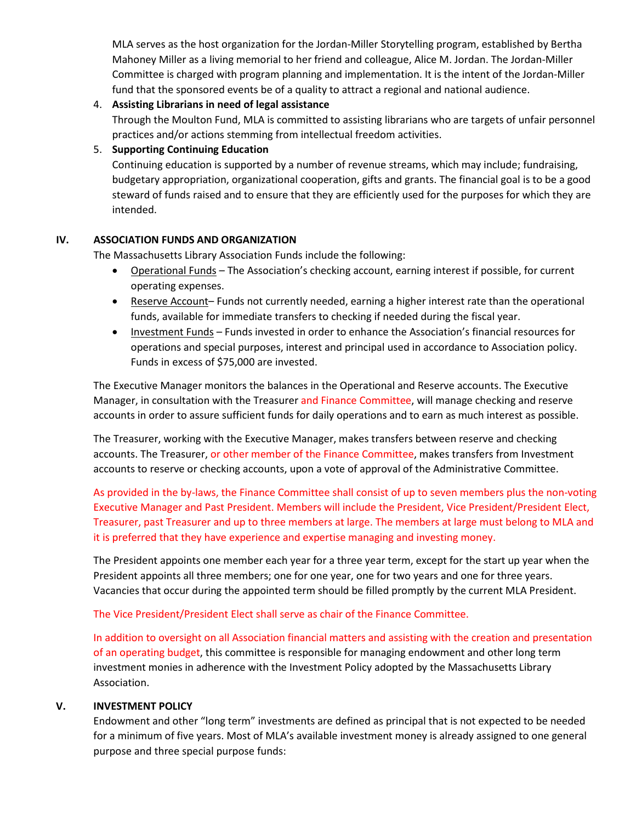MLA serves as the host organization for the Jordan-Miller Storytelling program, established by Bertha Mahoney Miller as a living memorial to her friend and colleague, Alice M. Jordan. The Jordan-Miller Committee is charged with program planning and implementation. It is the intent of the Jordan-Miller fund that the sponsored events be of a quality to attract a regional and national audience.

#### 4. **Assisting Librarians in need of legal assistance**

Through the Moulton Fund, MLA is committed to assisting librarians who are targets of unfair personnel practices and/or actions stemming from intellectual freedom activities.

#### 5. **Supporting Continuing Education**

Continuing education is supported by a number of revenue streams, which may include; fundraising, budgetary appropriation, organizational cooperation, gifts and grants. The financial goal is to be a good steward of funds raised and to ensure that they are efficiently used for the purposes for which they are intended.

#### **IV. ASSOCIATION FUNDS AND ORGANIZATION**

The Massachusetts Library Association Funds include the following:

- Operational Funds The Association's checking account, earning interest if possible, for current operating expenses.
- Reserve Account- Funds not currently needed, earning a higher interest rate than the operational funds, available for immediate transfers to checking if needed during the fiscal year.
- Investment Funds Funds invested in order to enhance the Association's financial resources for operations and special purposes, interest and principal used in accordance to Association policy. Funds in excess of \$75,000 are invested.

The Executive Manager monitors the balances in the Operational and Reserve accounts. The Executive Manager, in consultation with the Treasurer and Finance Committee, will manage checking and reserve accounts in order to assure sufficient funds for daily operations and to earn as much interest as possible.

The Treasurer, working with the Executive Manager, makes transfers between reserve and checking accounts. The Treasurer, or other member of the Finance Committee, makes transfers from Investment accounts to reserve or checking accounts, upon a vote of approval of the Administrative Committee.

As provided in the by-laws, the Finance Committee shall consist of up to seven members plus the non-voting Executive Manager and Past President. Members will include the President, Vice President/President Elect, Treasurer, past Treasurer and up to three members at large. The members at large must belong to MLA and it is preferred that they have experience and expertise managing and investing money.

The President appoints one member each year for a three year term, except for the start up year when the President appoints all three members; one for one year, one for two years and one for three years. Vacancies that occur during the appointed term should be filled promptly by the current MLA President.

#### The Vice President/President Elect shall serve as chair of the Finance Committee.

In addition to oversight on all Association financial matters and assisting with the creation and presentation of an operating budget, this committee is responsible for managing endowment and other long term investment monies in adherence with the Investment Policy adopted by the Massachusetts Library Association.

#### **V. INVESTMENT POLICY**

Endowment and other "long term" investments are defined as principal that is not expected to be needed for a minimum of five years. Most of MLA's available investment money is already assigned to one general purpose and three special purpose funds: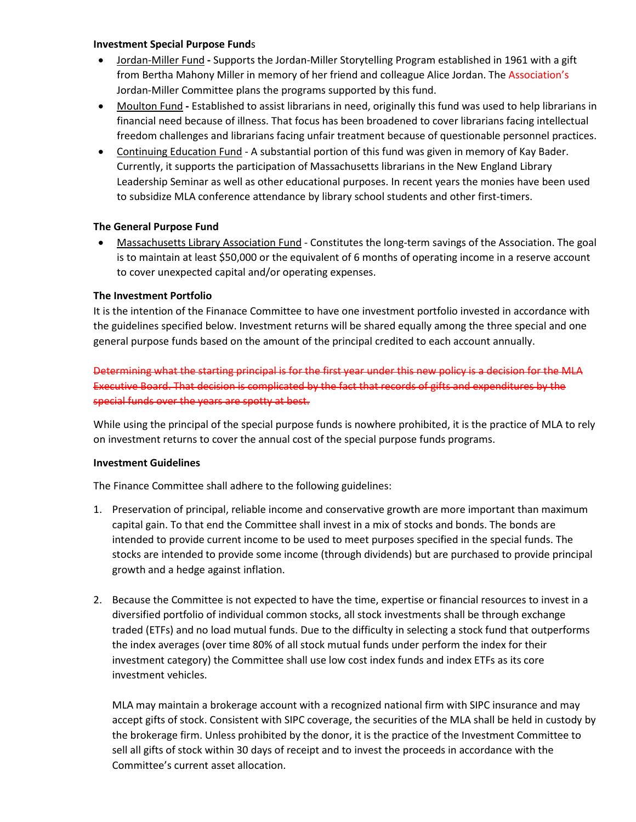#### **Investment Special Purpose Fund**s

- Jordan-Miller Fund **-** Supports the Jordan-Miller Storytelling Program established in 1961 with a gift from Bertha Mahony Miller in memory of her friend and colleague Alice Jordan. The Association's Jordan-Miller Committee plans the programs supported by this fund.
- Moulton Fund **-** Established to assist librarians in need, originally this fund was used to help librarians in financial need because of illness. That focus has been broadened to cover librarians facing intellectual freedom challenges and librarians facing unfair treatment because of questionable personnel practices.
- Continuing Education Fund A substantial portion of this fund was given in memory of Kay Bader. Currently, it supports the participation of Massachusetts librarians in the New England Library Leadership Seminar as well as other educational purposes. In recent years the monies have been used to subsidize MLA conference attendance by library school students and other first-timers.

#### **The General Purpose Fund**

• Massachusetts Library Association Fund - Constitutes the long-term savings of the Association. The goal is to maintain at least \$50,000 or the equivalent of 6 months of operating income in a reserve account to cover unexpected capital and/or operating expenses.

#### **The Investment Portfolio**

It is the intention of the Finanace Committee to have one investment portfolio invested in accordance with the guidelines specified below. Investment returns will be shared equally among the three special and one general purpose funds based on the amount of the principal credited to each account annually.

Determining what the starting principal is for the first year under this new policy is a decision for the MLA Executive Board. That decision is complicated by the fact that records of gifts and expenditures by the special funds over the years are spotty at best.

While using the principal of the special purpose funds is nowhere prohibited, it is the practice of MLA to rely on investment returns to cover the annual cost of the special purpose funds programs.

#### **Investment Guidelines**

The Finance Committee shall adhere to the following guidelines:

- 1. Preservation of principal, reliable income and conservative growth are more important than maximum capital gain. To that end the Committee shall invest in a mix of stocks and bonds. The bonds are intended to provide current income to be used to meet purposes specified in the special funds. The stocks are intended to provide some income (through dividends) but are purchased to provide principal growth and a hedge against inflation.
- 2. Because the Committee is not expected to have the time, expertise or financial resources to invest in a diversified portfolio of individual common stocks, all stock investments shall be through exchange traded (ETFs) and no load mutual funds. Due to the difficulty in selecting a stock fund that outperforms the index averages (over time 80% of all stock mutual funds under perform the index for their investment category) the Committee shall use low cost index funds and index ETFs as its core investment vehicles.

MLA may maintain a brokerage account with a recognized national firm with SIPC insurance and may accept gifts of stock. Consistent with SIPC coverage, the securities of the MLA shall be held in custody by the brokerage firm. Unless prohibited by the donor, it is the practice of the Investment Committee to sell all gifts of stock within 30 days of receipt and to invest the proceeds in accordance with the Committee's current asset allocation.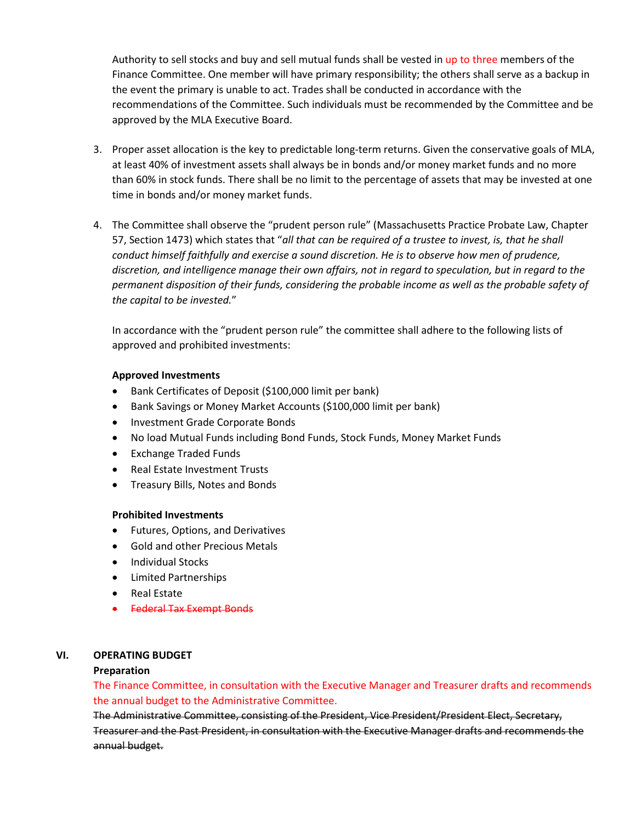Authority to sell stocks and buy and sell mutual funds shall be vested in up to three members of the Finance Committee. One member will have primary responsibility; the others shall serve as a backup in the event the primary is unable to act. Trades shall be conducted in accordance with the recommendations of the Committee. Such individuals must be recommended by the Committee and be approved by the MLA Executive Board.

- 3. Proper asset allocation is the key to predictable long-term returns. Given the conservative goals of MLA, at least 40% of investment assets shall always be in bonds and/or money market funds and no more than 60% in stock funds. There shall be no limit to the percentage of assets that may be invested at one time in bonds and/or money market funds.
- 4. The Committee shall observe the "prudent person rule" (Massachusetts Practice Probate Law, Chapter 57, Section 1473) which states that "*all that can be required of a trustee to invest, is, that he shall conduct himself faithfully and exercise a sound discretion. He is to observe how men of prudence, discretion, and intelligence manage their own affairs, not in regard to speculation, but in regard to the permanent disposition of their funds, considering the probable income as well as the probable safety of the capital to be invested.*"

In accordance with the "prudent person rule" the committee shall adhere to the following lists of approved and prohibited investments:

#### **Approved Investments**

- Bank Certificates of Deposit (\$100,000 limit per bank)
- Bank Savings or Money Market Accounts (\$100,000 limit per bank)
- Investment Grade Corporate Bonds
- No load Mutual Funds including Bond Funds, Stock Funds, Money Market Funds
- Exchange Traded Funds
- Real Estate Investment Trusts
- Treasury Bills, Notes and Bonds

#### **Prohibited Investments**

- Futures, Options, and Derivatives
- Gold and other Precious Metals
- Individual Stocks
- Limited Partnerships
- Real Estate
- Federal Tax Exempt Bonds

### **VI. OPERATING BUDGET**

#### **Preparation**

The Finance Committee, in consultation with the Executive Manager and Treasurer drafts and recommends the annual budget to the Administrative Committee.

The Administrative Committee, consisting of the President, Vice President/President Elect, Secretary, Treasurer and the Past President, in consultation with the Executive Manager drafts and recommends the annual budget.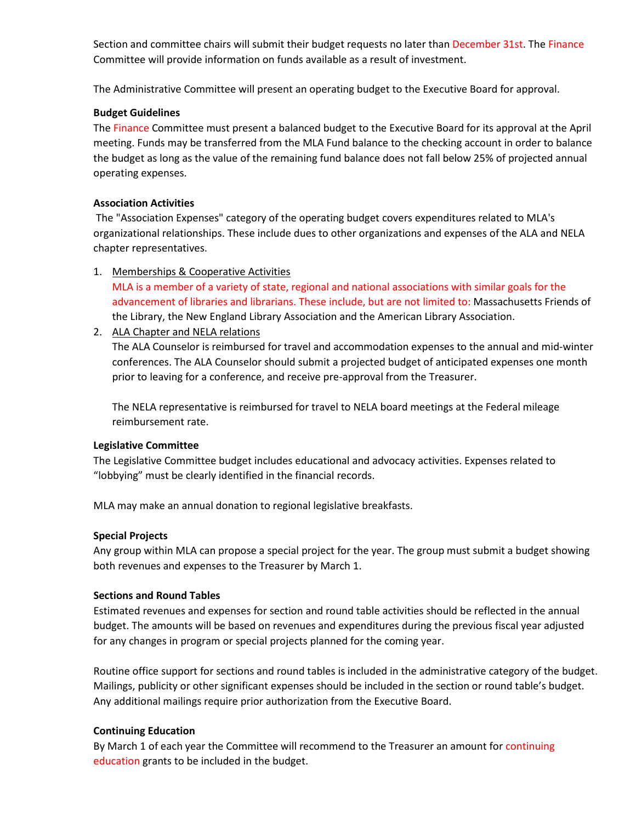Section and committee chairs will submit their budget requests no later than December 31st. The Finance Committee will provide information on funds available as a result of investment.

The Administrative Committee will present an operating budget to the Executive Board for approval.

#### **Budget Guidelines**

The Finance Committee must present a balanced budget to the Executive Board for its approval at the April meeting. Funds may be transferred from the MLA Fund balance to the checking account in order to balance the budget as long as the value of the remaining fund balance does not fall below 25% of projected annual operating expenses.

#### **Association Activities**

The "Association Expenses" category of the operating budget covers expenditures related to MLA's organizational relationships. These include dues to other organizations and expenses of the ALA and NELA chapter representatives.

1. Memberships & Cooperative Activities

MLA is a member of a variety of state, regional and national associations with similar goals for the advancement of libraries and librarians. These include, but are not limited to: Massachusetts Friends of the Library, the New England Library Association and the American Library Association.

2. ALA Chapter and NELA relations

The ALA Counselor is reimbursed for travel and accommodation expenses to the annual and mid-winter conferences. The ALA Counselor should submit a projected budget of anticipated expenses one month prior to leaving for a conference, and receive pre-approval from the Treasurer.

The NELA representative is reimbursed for travel to NELA board meetings at the Federal mileage reimbursement rate.

#### **Legislative Committee**

The Legislative Committee budget includes educational and advocacy activities. Expenses related to "lobbying" must be clearly identified in the financial records.

MLA may make an annual donation to regional legislative breakfasts.

#### **Special Projects**

Any group within MLA can propose a special project for the year. The group must submit a budget showing both revenues and expenses to the Treasurer by March 1.

#### **Sections and Round Tables**

Estimated revenues and expenses for section and round table activities should be reflected in the annual budget. The amounts will be based on revenues and expenditures during the previous fiscal year adjusted for any changes in program or special projects planned for the coming year.

Routine office support for sections and round tables is included in the administrative category of the budget. Mailings, publicity or other significant expenses should be included in the section or round table's budget. Any additional mailings require prior authorization from the Executive Board.

#### **Continuing Education**

By March 1 of each year the Committee will recommend to the Treasurer an amount for continuing education grants to be included in the budget.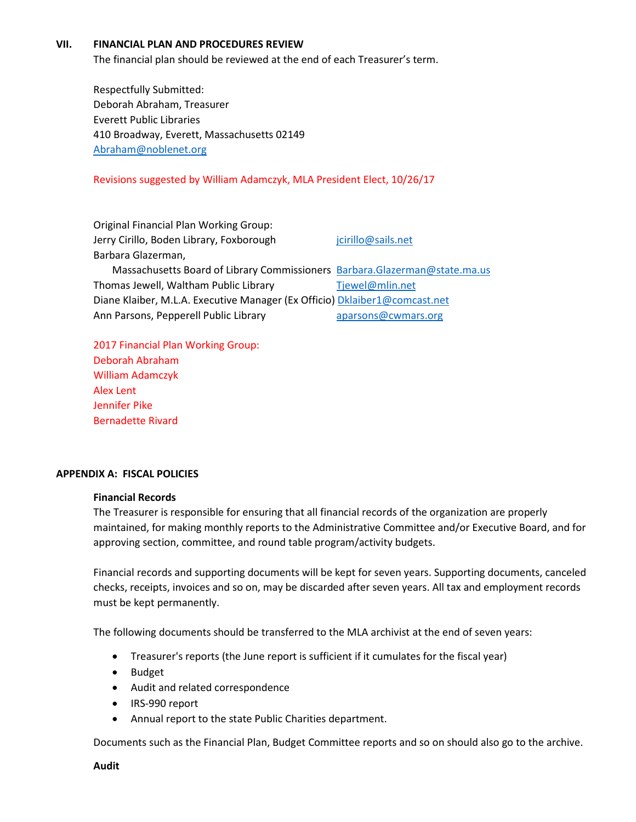#### **VII. FINANCIAL PLAN AND PROCEDURES REVIEW**

The financial plan should be reviewed at the end of each Treasurer's term.

Respectfully Submitted: Deborah Abraham, Treasurer Everett Public Libraries 410 Broadway, Everett, Massachusetts 02149 [Abraham@noblenet.org](mailto:Abraham@noblenet.org)

#### Revisions suggested by William Adamczyk, MLA President Elect, 10/26/17

| <b>Original Financial Plan Working Group:</b>                              |                     |
|----------------------------------------------------------------------------|---------------------|
| Jerry Cirillo, Boden Library, Foxborough                                   | jcirillo@sails.net  |
| Barbara Glazerman,                                                         |                     |
| Massachusetts Board of Library Commissioners Barbara.Glazerman@state.ma.us |                     |
| Thomas Jewell, Waltham Public Library                                      | Tjewel@mlin.net     |
| Diane Klaiber, M.L.A. Executive Manager (Ex Officio) Dklaiber1@comcast.net |                     |
| Ann Parsons, Pepperell Public Library                                      | aparsons@cwmars.org |
|                                                                            |                     |

2017 Financial Plan Working Group: Deborah Abraham William Adamczyk Alex Lent Jennifer Pike Bernadette Rivard

#### **APPENDIX A: FISCAL POLICIES**

#### **Financial Records**

The Treasurer is responsible for ensuring that all financial records of the organization are properly maintained, for making monthly reports to the Administrative Committee and/or Executive Board, and for approving section, committee, and round table program/activity budgets.

Financial records and supporting documents will be kept for seven years. Supporting documents, canceled checks, receipts, invoices and so on, may be discarded after seven years. All tax and employment records must be kept permanently.

The following documents should be transferred to the MLA archivist at the end of seven years:

- Treasurer's reports (the June report is sufficient if it cumulates for the fiscal year)
- Budget
- Audit and related correspondence
- IRS-990 report
- Annual report to the state Public Charities department.

Documents such as the Financial Plan, Budget Committee reports and so on should also go to the archive.

**Audit**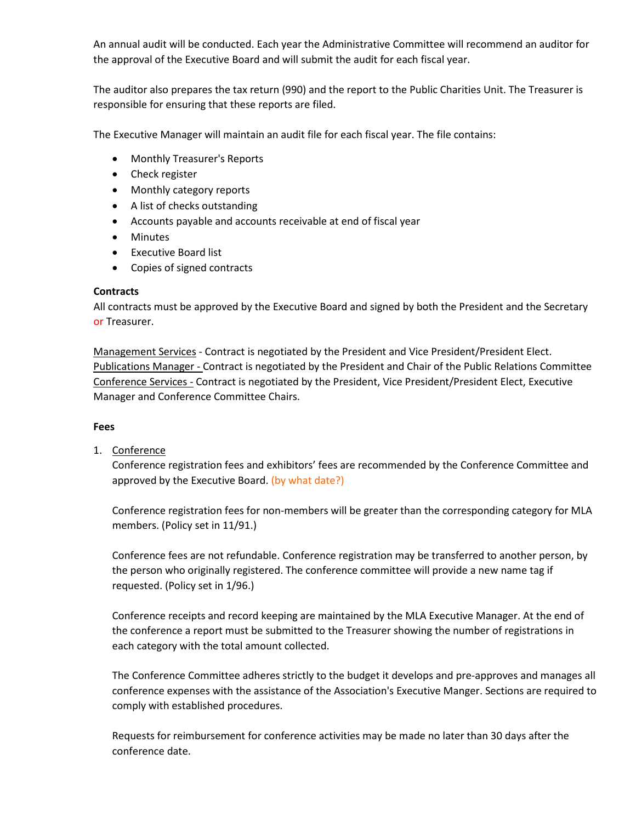An annual audit will be conducted. Each year the Administrative Committee will recommend an auditor for the approval of the Executive Board and will submit the audit for each fiscal year.

The auditor also prepares the tax return (990) and the report to the Public Charities Unit. The Treasurer is responsible for ensuring that these reports are filed.

The Executive Manager will maintain an audit file for each fiscal year. The file contains:

- Monthly Treasurer's Reports
- Check register
- Monthly category reports
- A list of checks outstanding
- Accounts payable and accounts receivable at end of fiscal year
- Minutes
- Executive Board list
- Copies of signed contracts

#### **Contracts**

All contracts must be approved by the Executive Board and signed by both the President and the Secretary or Treasurer.

Management Services - Contract is negotiated by the President and Vice President/President Elect. Publications Manager - Contract is negotiated by the President and Chair of the Public Relations Committee Conference Services - Contract is negotiated by the President, Vice President/President Elect, Executive Manager and Conference Committee Chairs.

#### **Fees**

1. Conference

Conference registration fees and exhibitors' fees are recommended by the Conference Committee and approved by the Executive Board. (by what date?)

Conference registration fees for non-members will be greater than the corresponding category for MLA members. (Policy set in 11/91.)

Conference fees are not refundable. Conference registration may be transferred to another person, by the person who originally registered. The conference committee will provide a new name tag if requested. (Policy set in 1/96.)

Conference receipts and record keeping are maintained by the MLA Executive Manager. At the end of the conference a report must be submitted to the Treasurer showing the number of registrations in each category with the total amount collected.

The Conference Committee adheres strictly to the budget it develops and pre-approves and manages all conference expenses with the assistance of the Association's Executive Manger. Sections are required to comply with established procedures.

Requests for reimbursement for conference activities may be made no later than 30 days after the conference date.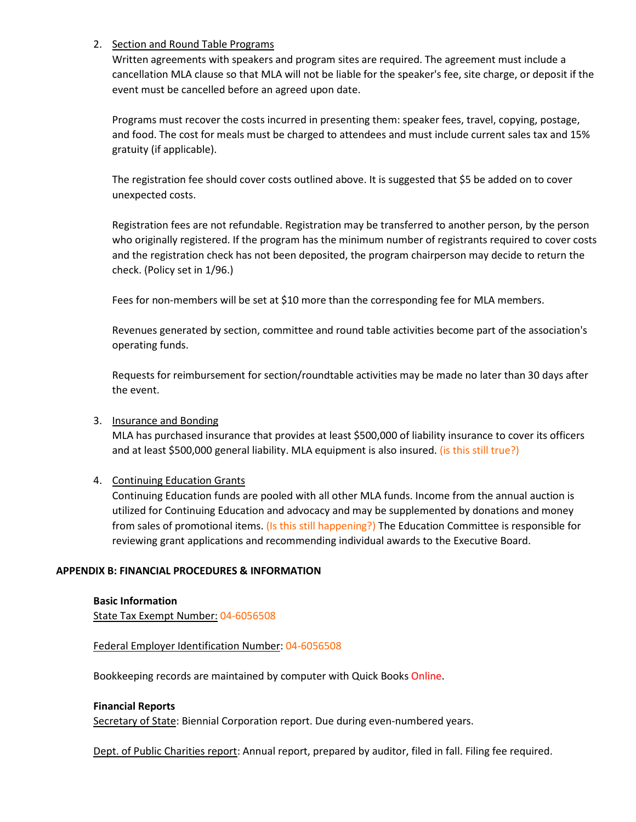#### 2. Section and Round Table Programs

Written agreements with speakers and program sites are required. The agreement must include a cancellation MLA clause so that MLA will not be liable for the speaker's fee, site charge, or deposit if the event must be cancelled before an agreed upon date.

Programs must recover the costs incurred in presenting them: speaker fees, travel, copying, postage, and food. The cost for meals must be charged to attendees and must include current sales tax and 15% gratuity (if applicable).

The registration fee should cover costs outlined above. It is suggested that \$5 be added on to cover unexpected costs.

Registration fees are not refundable. Registration may be transferred to another person, by the person who originally registered. If the program has the minimum number of registrants required to cover costs and the registration check has not been deposited, the program chairperson may decide to return the check. (Policy set in 1/96.)

Fees for non-members will be set at \$10 more than the corresponding fee for MLA members.

Revenues generated by section, committee and round table activities become part of the association's operating funds.

Requests for reimbursement for section/roundtable activities may be made no later than 30 days after the event.

#### 3. Insurance and Bonding

MLA has purchased insurance that provides at least \$500,000 of liability insurance to cover its officers and at least \$500,000 general liability. MLA equipment is also insured. (is this still true?)

#### 4. Continuing Education Grants

Continuing Education funds are pooled with all other MLA funds. Income from the annual auction is utilized for Continuing Education and advocacy and may be supplemented by donations and money from sales of promotional items. (Is this still happening?) The Education Committee is responsible for reviewing grant applications and recommending individual awards to the Executive Board.

#### **APPENDIX B: FINANCIAL PROCEDURES & INFORMATION**

**Basic Information** State Tax Exempt Number: 04-6056508

#### Federal Employer Identification Number: 04-6056508

Bookkeeping records are maintained by computer with Quick Books Online.

#### **Financial Reports**

Secretary of State: Biennial Corporation report. Due during even-numbered years.

Dept. of Public Charities report: Annual report, prepared by auditor, filed in fall. Filing fee required.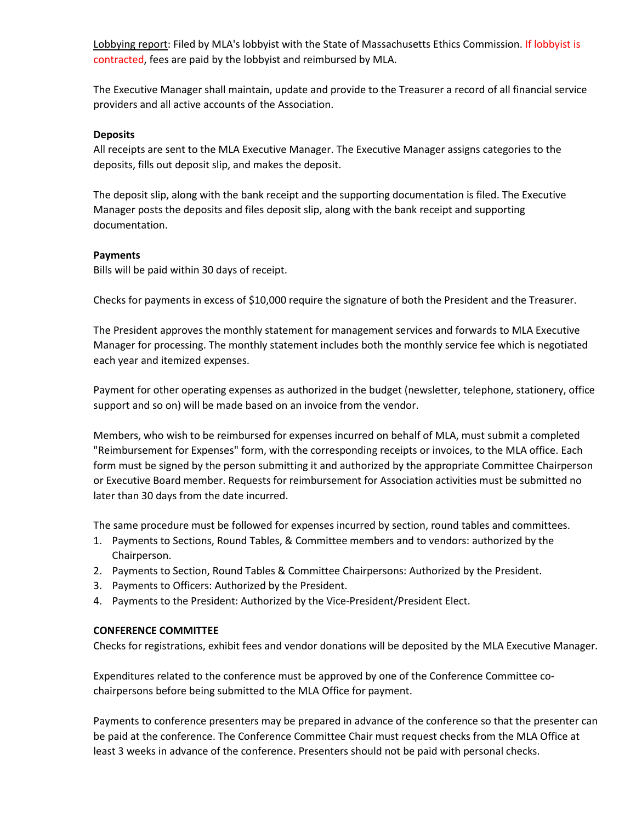Lobbying report: Filed by MLA's lobbyist with the State of Massachusetts Ethics Commission. If lobbyist is contracted, fees are paid by the lobbyist and reimbursed by MLA.

The Executive Manager shall maintain, update and provide to the Treasurer a record of all financial service providers and all active accounts of the Association.

#### **Deposits**

All receipts are sent to the MLA Executive Manager. The Executive Manager assigns categories to the deposits, fills out deposit slip, and makes the deposit.

The deposit slip, along with the bank receipt and the supporting documentation is filed. The Executive Manager posts the deposits and files deposit slip, along with the bank receipt and supporting documentation.

#### **Payments**

Bills will be paid within 30 days of receipt.

Checks for payments in excess of \$10,000 require the signature of both the President and the Treasurer.

The President approves the monthly statement for management services and forwards to MLA Executive Manager for processing. The monthly statement includes both the monthly service fee which is negotiated each year and itemized expenses.

Payment for other operating expenses as authorized in the budget (newsletter, telephone, stationery, office support and so on) will be made based on an invoice from the vendor.

Members, who wish to be reimbursed for expenses incurred on behalf of MLA, must submit a completed "Reimbursement for Expenses" form, with the corresponding receipts or invoices, to the MLA office. Each form must be signed by the person submitting it and authorized by the appropriate Committee Chairperson or Executive Board member. Requests for reimbursement for Association activities must be submitted no later than 30 days from the date incurred.

The same procedure must be followed for expenses incurred by section, round tables and committees.

- 1. Payments to Sections, Round Tables, & Committee members and to vendors: authorized by the Chairperson.
- 2. Payments to Section, Round Tables & Committee Chairpersons: Authorized by the President.
- 3. Payments to Officers: Authorized by the President.
- 4. Payments to the President: Authorized by the Vice-President/President Elect.

#### **CONFERENCE COMMITTEE**

Checks for registrations, exhibit fees and vendor donations will be deposited by the MLA Executive Manager.

Expenditures related to the conference must be approved by one of the Conference Committee cochairpersons before being submitted to the MLA Office for payment.

Payments to conference presenters may be prepared in advance of the conference so that the presenter can be paid at the conference. The Conference Committee Chair must request checks from the MLA Office at least 3 weeks in advance of the conference. Presenters should not be paid with personal checks.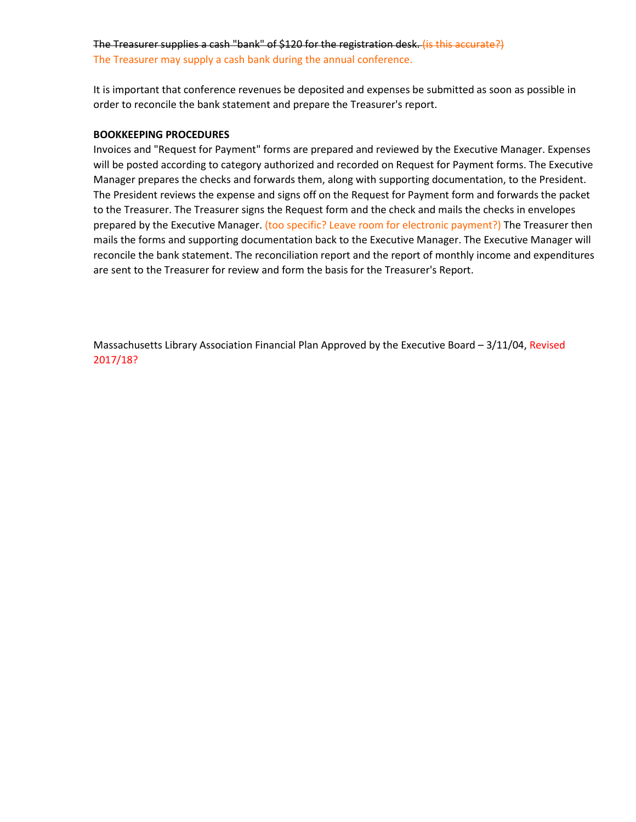## The Treasurer supplies a cash "bank" of \$120 for the registration desk. (is this accurate?)

The Treasurer may supply a cash bank during the annual conference.

It is important that conference revenues be deposited and expenses be submitted as soon as possible in order to reconcile the bank statement and prepare the Treasurer's report.

#### **BOOKKEEPING PROCEDURES**

Invoices and "Request for Payment" forms are prepared and reviewed by the Executive Manager. Expenses will be posted according to category authorized and recorded on Request for Payment forms. The Executive Manager prepares the checks and forwards them, along with supporting documentation, to the President. The President reviews the expense and signs off on the Request for Payment form and forwards the packet to the Treasurer. The Treasurer signs the Request form and the check and mails the checks in envelopes prepared by the Executive Manager. (too specific? Leave room for electronic payment?) The Treasurer then mails the forms and supporting documentation back to the Executive Manager. The Executive Manager will reconcile the bank statement. The reconciliation report and the report of monthly income and expenditures are sent to the Treasurer for review and form the basis for the Treasurer's Report.

Massachusetts Library Association Financial Plan Approved by the Executive Board – 3/11/04, Revised 2017/18?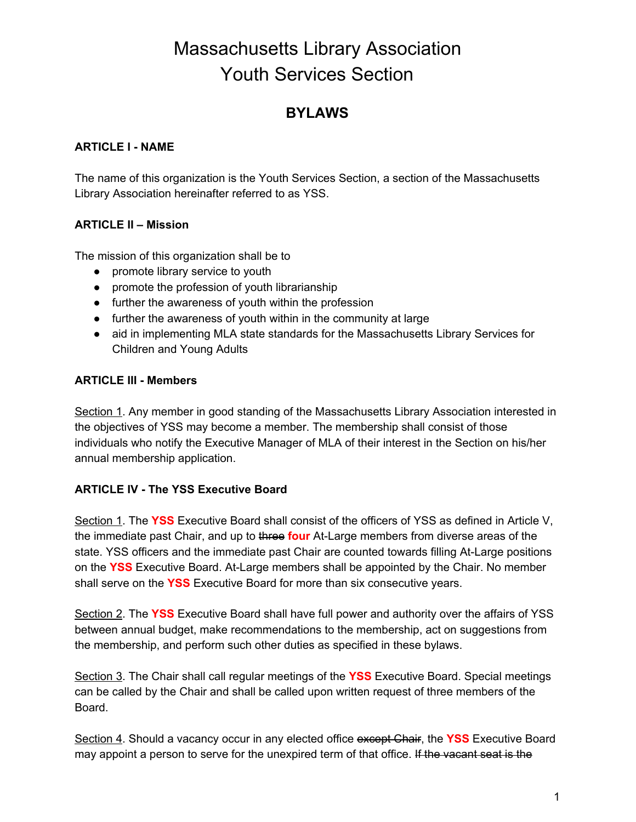# Massachusetts Library Association Youth Services Section

## **BYLAWS**

## **ARTICLE I - NAME**

The name of this organization is the Youth Services Section, a section of the Massachusetts Library Association hereinafter referred to as YSS.

## **ARTICLE II – Mission**

The mission of this organization shall be to

- promote library service to youth
- promote the profession of youth librarianship
- further the awareness of youth within the profession
- further the awareness of youth within in the community at large
- aid in implementing MLA state standards for the Massachusetts Library Services for Children and Young Adults

## **ARTICLE III - Members**

Section 1. Any member in good standing of the Massachusetts Library Association interested in the objectives of YSS may become a member. The membership shall consist of those individuals who notify the Executive Manager of MLA of their interest in the Section on his/her annual membership application.

## **ARTICLE IV - The YSS Executive Board**

Section 1. The **YSS** Executive Board shall consist of the officers of YSS as defined in Article V, the immediate past Chair, and up to three **four** At-Large members from diverse areas of the state. YSS officers and the immediate past Chair are counted towards filling At-Large positions on the **YSS** Executive Board. At-Large members shall be appointed by the Chair. No member shall serve on the **YSS** Executive Board for more than six consecutive years.

Section 2. The **YSS** Executive Board shall have full power and authority over the affairs of YSS between annual budget, make recommendations to the membership, act on suggestions from the membership, and perform such other duties as specified in these bylaws.

Section 3. The Chair shall call regular meetings of the **YSS** Executive Board. Special meetings can be called by the Chair and shall be called upon written request of three members of the Board.

Section 4. Should a vacancy occur in any elected office except Chair, the **YSS** Executive Board may appoint a person to serve for the unexpired term of that office. If the vacant seat is the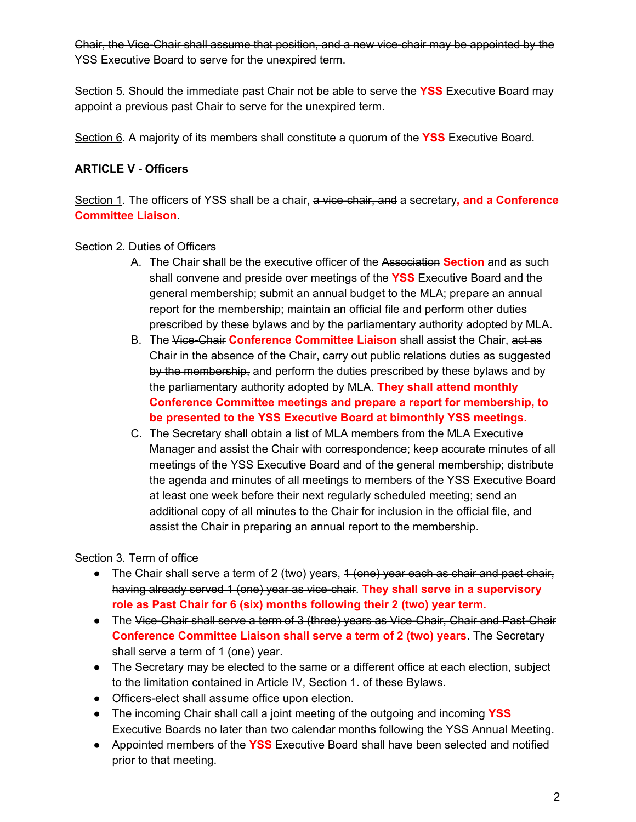Chair, the Vice-Chair shall assume that position, and a new vice-chair may be appointed by the YSS Executive Board to serve for the unexpired term.

Section 5. Should the immediate past Chair not be able to serve the **YSS** Executive Board may appoint a previous past Chair to serve for the unexpired term.

Section 6. A majority of its members shall constitute a quorum of the **YSS** Executive Board.

## **ARTICLE V - Officers**

Section 1. The officers of YSS shall be a chair, a vice-chair, and a secretary**, and a Conference Committee Liaison**.

## Section 2. Duties of Officers

- A. The Chair shall be the executive officer of the Association **Section** and as such shall convene and preside over meetings of the **YSS** Executive Board and the general membership; submit an annual budget to the MLA; prepare an annual report for the membership; maintain an official file and perform other duties prescribed by these bylaws and by the parliamentary authority adopted by MLA.
- B. The Vice-Chair **Conference Committee Liaison** shall assist the Chair, act as Chair in the absence of the Chair, carry out public relations duties as suggested by the membership, and perform the duties prescribed by these bylaws and by the parliamentary authority adopted by MLA. **They shall attend monthly Conference Committee meetings and prepare a report for membership, to be presented to the YSS Executive Board at bimonthly YSS meetings.**
- C. The Secretary shall obtain a list of MLA members from the MLA Executive Manager and assist the Chair with correspondence; keep accurate minutes of all meetings of the YSS Executive Board and of the general membership; distribute the agenda and minutes of all meetings to members of the YSS Executive Board at least one week before their next regularly scheduled meeting; send an additional copy of all minutes to the Chair for inclusion in the official file, and assist the Chair in preparing an annual report to the membership.

Section 3. Term of office

- The Chair shall serve a term of 2 (two) years, 4 (one) year each as chair and past chair, having already served 1 (one) year as vice-chair. **They shall serve in a supervisory role as Past Chair for 6 (six) months following their 2 (two) year term.**
- The Vice-Chair shall serve a term of 3 (three) years as Vice-Chair, Chair and Past-Chair **Conference Committee Liaison shall serve a term of 2 (two) years**. The Secretary shall serve a term of 1 (one) year.
- The Secretary may be elected to the same or a different office at each election, subject to the limitation contained in Article IV, Section 1. of these Bylaws.
- Officers-elect shall assume office upon election.
- The incoming Chair shall call a joint meeting of the outgoing and incoming **YSS** Executive Boards no later than two calendar months following the YSS Annual Meeting.
- Appointed members of the **YSS** Executive Board shall have been selected and notified prior to that meeting.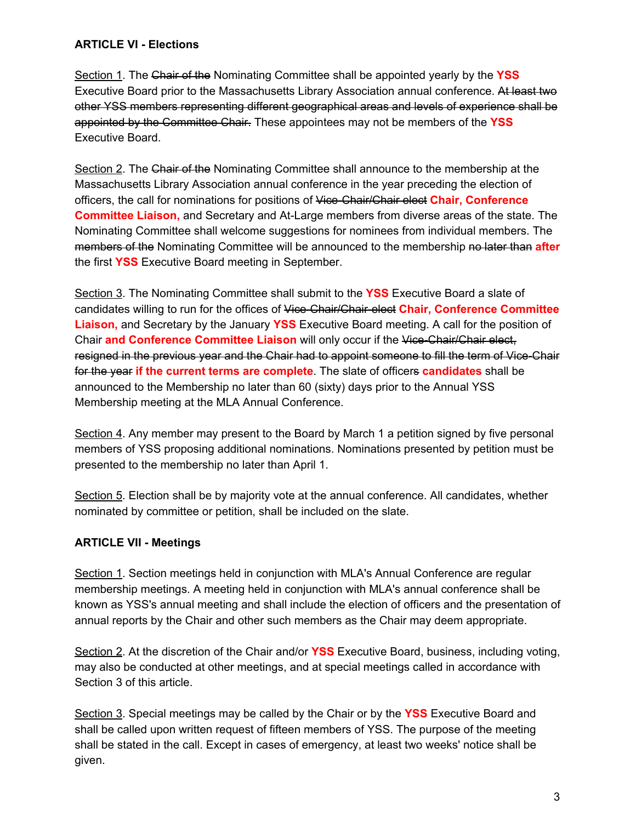## **ARTICLE VI - Elections**

Section 1. The Chair of the Nominating Committee shall be appointed yearly by the **YSS** Executive Board prior to the Massachusetts Library Association annual conference. At least two other YSS members representing different geographical areas and levels of experience shall be appointed by the Committee Chair. These appointees may not be members of the **YSS** Executive Board.

Section 2. The Chair of the Nominating Committee shall announce to the membership at the Massachusetts Library Association annual conference in the year preceding the election of officers, the call for nominations for positions of Vice-Chair/Chair elect **Chair, Conference Committee Liaison,** and Secretary and At-Large members from diverse areas of the state. The Nominating Committee shall welcome suggestions for nominees from individual members. The members of the Nominating Committee will be announced to the membership no later than **after** the first **YSS** Executive Board meeting in September.

Section 3. The Nominating Committee shall submit to the **YSS** Executive Board a slate of candidates willing to run for the offices of Vice-Chair/Chair-elect **Chair, Conference Committee Liaison,** and Secretary by the January **YSS** Executive Board meeting. A call for the position of Chair **and Conference Committee Liaison** will only occur if the Vice-Chair/Chair elect, resigned in the previous year and the Chair had to appoint someone to fill the term of Vice-Chair for the year **if the current terms are complete**. The slate of officers **candidates** shall be announced to the Membership no later than 60 (sixty) days prior to the Annual YSS Membership meeting at the MLA Annual Conference.

Section 4. Any member may present to the Board by March 1 a petition signed by five personal members of YSS proposing additional nominations. Nominations presented by petition must be presented to the membership no later than April 1.

Section 5. Election shall be by majority vote at the annual conference. All candidates, whether nominated by committee or petition, shall be included on the slate.

## **ARTICLE VII - Meetings**

Section 1. Section meetings held in conjunction with MLA's Annual Conference are regular membership meetings. A meeting held in conjunction with MLA's annual conference shall be known as YSS's annual meeting and shall include the election of officers and the presentation of annual reports by the Chair and other such members as the Chair may deem appropriate.

Section 2. At the discretion of the Chair and/or **YSS** Executive Board, business, including voting, may also be conducted at other meetings, and at special meetings called in accordance with Section 3 of this article.

Section 3. Special meetings may be called by the Chair or by the **YSS** Executive Board and shall be called upon written request of fifteen members of YSS. The purpose of the meeting shall be stated in the call. Except in cases of emergency, at least two weeks' notice shall be given.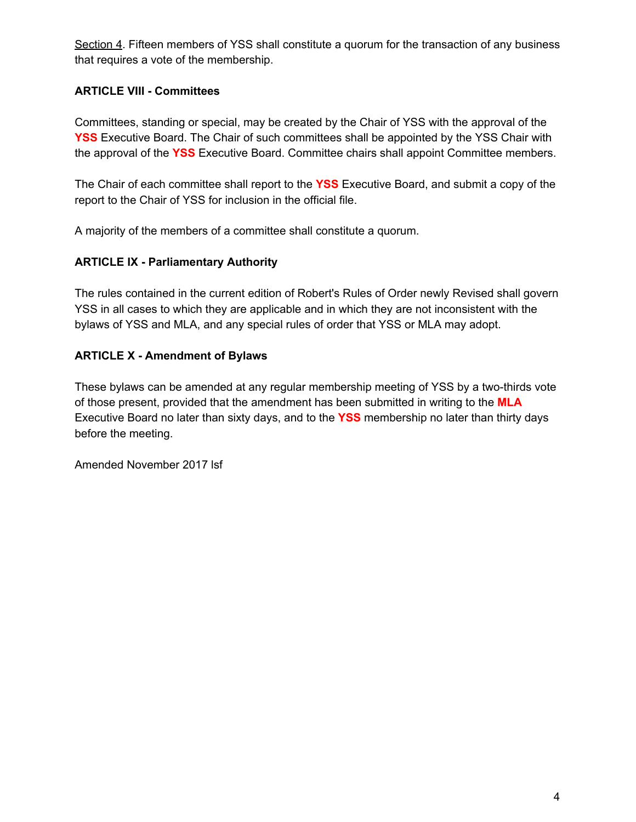Section 4. Fifteen members of YSS shall constitute a quorum for the transaction of any business that requires a vote of the membership.

## **ARTICLE VIII - Committees**

Committees, standing or special, may be created by the Chair of YSS with the approval of the **YSS** Executive Board. The Chair of such committees shall be appointed by the YSS Chair with the approval of the **YSS** Executive Board. Committee chairs shall appoint Committee members.

The Chair of each committee shall report to the **YSS** Executive Board, and submit a copy of the report to the Chair of YSS for inclusion in the official file.

A majority of the members of a committee shall constitute a quorum.

## **ARTICLE IX - Parliamentary Authority**

The rules contained in the current edition of Robert's Rules of Order newly Revised shall govern YSS in all cases to which they are applicable and in which they are not inconsistent with the bylaws of YSS and MLA, and any special rules of order that YSS or MLA may adopt.

## **ARTICLE X - Amendment of Bylaws**

These bylaws can be amended at any regular membership meeting of YSS by a two-thirds vote of those present, provided that the amendment has been submitted in writing to the **MLA** Executive Board no later than sixty days, and to the **YSS** membership no later than thirty days before the meeting.

Amended November 2017 lsf